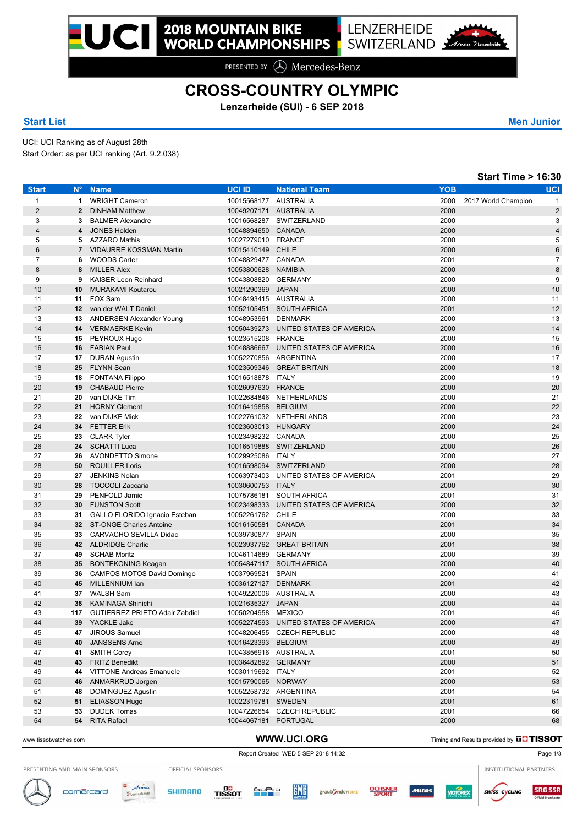PRESENTED BY **A** Mercedes-Benz

## **CROSS-COUNTRY OLYMPIC**

**Lenzerheide (SUI) - 6 SEP 2018**

### **Start List Men Junior**

UCI: UCI Ranking as of August 28th Start Order: as per UCI ranking (Art. 9.2.038)

| $N^{\circ}$<br><b>UCI ID</b><br><b>YOB</b><br><b>Start</b><br><b>Name</b><br><b>National Team</b><br>$\mathbf{1}$<br><b>WRIGHT Cameron</b><br>10015568177 AUSTRALIA<br>2000<br>2017 World Champion<br>1<br>$\overline{2}$<br>10049207171 AUSTRALIA<br>2000<br>$\mathbf{2}$<br><b>DINHAM Matthew</b><br>3<br>10016568287 SWITZERLAND<br>2000<br>3<br><b>BALMER Alexandre</b><br>$\overline{4}$<br><b>JONES Holden</b><br>2000<br>4<br>10048894650 CANADA<br>5<br><b>AZZARO Mathis</b><br>10027279010 FRANCE<br>2000<br>5<br>6<br><b>VIDAURRE KOSSMAN Martin</b><br><b>CHILE</b><br>2000<br>$\overline{7}$<br>10015410149<br>$\overline{7}$<br>2001<br><b>WOODS Carter</b><br>10048829477 CANADA<br>6<br>8<br><b>MILLER Alex</b><br>10053800628 NAMIBIA<br>2000<br>8<br>9<br><b>KAISER Leon Reinhard</b><br>10043808820 GERMANY<br>2000<br>9<br>10<br>10021290369 JAPAN<br>2000<br>10<br><b>MURAKAMI Koutarou</b><br>FOX Sam<br>10048493415 AUSTRALIA<br>2000<br>11<br>11<br>12<br>van der WALT Daniel<br>10052105451 SOUTH AFRICA<br>2001<br>$12 \,$<br>2000<br>13<br>ANDERSEN Alexander Young<br>10048953961 DENMARK<br>13<br>14<br>10050439273 UNITED STATES OF AMERICA<br>2000<br>14 VERMAERKE Kevin<br>10023515208 FRANCE<br>2000<br>15<br>PEYROUX Hugo<br>15<br>16<br><b>FABIAN Paul</b><br>10048886667 UNITED STATES OF AMERICA<br>2000<br>16<br>17 DURAN Agustin<br>2000<br>17<br>10052270856 ARGENTINA<br><b>FLYNN Sean</b><br>10023509346 GREAT BRITAIN<br>2000<br>18<br>25<br>2000<br>19<br>18<br><b>FONTANA Filippo</b><br>10016518878 ITALY<br>20<br>2000<br>19<br><b>CHABAUD Pierre</b><br>10026097630 FRANCE<br>21<br>van DIJKE Tim<br>10022684846 NETHERLANDS<br>2000<br>20<br>22<br><b>HORNY Clement</b><br>10016419858 BELGIUM<br>2000<br>21<br>23<br>2000<br>22<br>van DIJKE Mick<br>10022761032 NETHERLANDS<br>24<br><b>FETTER Erik</b><br>2000<br>34<br>10023603013 HUNGARY<br>2000<br>25<br>23<br><b>CLARK Tyler</b><br>10023498232 CANADA<br>26<br>SCHATTI Luca<br>10016519888 SWITZERLAND<br>2000<br>24<br>27<br><b>AVONDETTO Simone</b><br>10029925086 ITALY<br>2000<br>26<br>28<br><b>ROUILLER Loris</b><br>2000<br>50<br>10016598094 SWITZERLAND<br><b>JENKINS Nolan</b><br>2001<br>29<br>10063973403 UNITED STATES OF AMERICA<br>27<br>30<br><b>TOCCOLI Zaccaria</b><br>10030600753 ITALY<br>2000<br>28<br>PENFOLD Jamie<br>10075786181 SOUTH AFRICA<br>2001<br>31<br>29<br>32<br><b>FUNSTON Scott</b><br>10023498333 UNITED STATES OF AMERICA<br>2000<br>30<br>33<br>10052261762 CHILE<br>2000<br>31<br>GALLO FLORIDO Ignacio Esteban<br>34<br>32 ST-ONGE Charles Antoine<br>2001<br>10016150581 CANADA<br>10039730877 SPAIN<br>2000<br>35<br>CARVACHO SEVILLA Didac<br>33<br>36<br><b>ALDRIDGE Charlie</b><br>10023937762 GREAT BRITAIN<br>2001<br>42<br>37<br>2000<br>49<br><b>SCHAB Moritz</b><br>10046114689 GERMANY<br>38<br>2000<br>BONTEKONING Keagan<br>10054847117 SOUTH AFRICA<br>35<br>10037969521 SPAIN<br>2000<br>39<br>CAMPOS MOTOS David Domingo<br>36<br>40<br>MILLENNIUM Ian<br>2001<br>45<br>10036127127 DENMARK<br>2000<br>41<br><b>WALSH Sam</b><br>10049220006 AUSTRALIA<br>37<br>42<br>10021635327 JAPAN<br>2000<br>38<br><b>KAMINAGA Shinichi</b><br>2001<br>43<br>117 GUTIERREZ PRIETO Adair Zabdiel<br>10050204958 MEXICO<br>44<br>2000<br>39 YACKLE Jake<br>10052274593 UNITED STATES OF AMERICA<br>47 JIROUS Samuel<br>2000<br>45<br>10048206455 CZECH REPUBLIC<br>46<br>10016423393 BELGIUM<br>2000<br>40 JANSSENS Arne<br>47<br>41 SMITH Corey<br>10043856916 AUSTRALIA<br>2001<br>48<br>43 FRITZ Benedikt<br>10036482892 GERMANY<br>2000<br>49<br>44 VITTONE Andreas Emanuele<br>2001<br>10030119692 ITALY<br>50<br>46 ANMARKRUD Jorgen<br>10015790065 NORWAY<br>2000<br>51<br>48 DOMINGUEZ Agustin<br>10052258732 ARGENTINA<br>2001 |  |  |  | <b>Start Time &gt; 16:30</b> |
|-----------------------------------------------------------------------------------------------------------------------------------------------------------------------------------------------------------------------------------------------------------------------------------------------------------------------------------------------------------------------------------------------------------------------------------------------------------------------------------------------------------------------------------------------------------------------------------------------------------------------------------------------------------------------------------------------------------------------------------------------------------------------------------------------------------------------------------------------------------------------------------------------------------------------------------------------------------------------------------------------------------------------------------------------------------------------------------------------------------------------------------------------------------------------------------------------------------------------------------------------------------------------------------------------------------------------------------------------------------------------------------------------------------------------------------------------------------------------------------------------------------------------------------------------------------------------------------------------------------------------------------------------------------------------------------------------------------------------------------------------------------------------------------------------------------------------------------------------------------------------------------------------------------------------------------------------------------------------------------------------------------------------------------------------------------------------------------------------------------------------------------------------------------------------------------------------------------------------------------------------------------------------------------------------------------------------------------------------------------------------------------------------------------------------------------------------------------------------------------------------------------------------------------------------------------------------------------------------------------------------------------------------------------------------------------------------------------------------------------------------------------------------------------------------------------------------------------------------------------------------------------------------------------------------------------------------------------------------------------------------------------------------------------------------------------------------------------------------------------------------------------------------------------------------------------------------------------------------------------------------------------------------------------------------------------------------------------------------------------------------------------------------------------------------------------------------------------------------------------------------------------------------------------------------------------------------------------------------------------------------------------------------------------------------------------------------------------------------------------------------------------------------------------------------|--|--|--|------------------------------|
|                                                                                                                                                                                                                                                                                                                                                                                                                                                                                                                                                                                                                                                                                                                                                                                                                                                                                                                                                                                                                                                                                                                                                                                                                                                                                                                                                                                                                                                                                                                                                                                                                                                                                                                                                                                                                                                                                                                                                                                                                                                                                                                                                                                                                                                                                                                                                                                                                                                                                                                                                                                                                                                                                                                                                                                                                                                                                                                                                                                                                                                                                                                                                                                                                                                                                                                                                                                                                                                                                                                                                                                                                                                                                                                                                                                               |  |  |  | <b>UCI</b>                   |
|                                                                                                                                                                                                                                                                                                                                                                                                                                                                                                                                                                                                                                                                                                                                                                                                                                                                                                                                                                                                                                                                                                                                                                                                                                                                                                                                                                                                                                                                                                                                                                                                                                                                                                                                                                                                                                                                                                                                                                                                                                                                                                                                                                                                                                                                                                                                                                                                                                                                                                                                                                                                                                                                                                                                                                                                                                                                                                                                                                                                                                                                                                                                                                                                                                                                                                                                                                                                                                                                                                                                                                                                                                                                                                                                                                                               |  |  |  | $\mathbf{1}$                 |
|                                                                                                                                                                                                                                                                                                                                                                                                                                                                                                                                                                                                                                                                                                                                                                                                                                                                                                                                                                                                                                                                                                                                                                                                                                                                                                                                                                                                                                                                                                                                                                                                                                                                                                                                                                                                                                                                                                                                                                                                                                                                                                                                                                                                                                                                                                                                                                                                                                                                                                                                                                                                                                                                                                                                                                                                                                                                                                                                                                                                                                                                                                                                                                                                                                                                                                                                                                                                                                                                                                                                                                                                                                                                                                                                                                                               |  |  |  | $\overline{2}$               |
|                                                                                                                                                                                                                                                                                                                                                                                                                                                                                                                                                                                                                                                                                                                                                                                                                                                                                                                                                                                                                                                                                                                                                                                                                                                                                                                                                                                                                                                                                                                                                                                                                                                                                                                                                                                                                                                                                                                                                                                                                                                                                                                                                                                                                                                                                                                                                                                                                                                                                                                                                                                                                                                                                                                                                                                                                                                                                                                                                                                                                                                                                                                                                                                                                                                                                                                                                                                                                                                                                                                                                                                                                                                                                                                                                                                               |  |  |  | 3                            |
|                                                                                                                                                                                                                                                                                                                                                                                                                                                                                                                                                                                                                                                                                                                                                                                                                                                                                                                                                                                                                                                                                                                                                                                                                                                                                                                                                                                                                                                                                                                                                                                                                                                                                                                                                                                                                                                                                                                                                                                                                                                                                                                                                                                                                                                                                                                                                                                                                                                                                                                                                                                                                                                                                                                                                                                                                                                                                                                                                                                                                                                                                                                                                                                                                                                                                                                                                                                                                                                                                                                                                                                                                                                                                                                                                                                               |  |  |  | 4                            |
|                                                                                                                                                                                                                                                                                                                                                                                                                                                                                                                                                                                                                                                                                                                                                                                                                                                                                                                                                                                                                                                                                                                                                                                                                                                                                                                                                                                                                                                                                                                                                                                                                                                                                                                                                                                                                                                                                                                                                                                                                                                                                                                                                                                                                                                                                                                                                                                                                                                                                                                                                                                                                                                                                                                                                                                                                                                                                                                                                                                                                                                                                                                                                                                                                                                                                                                                                                                                                                                                                                                                                                                                                                                                                                                                                                                               |  |  |  | 5                            |
|                                                                                                                                                                                                                                                                                                                                                                                                                                                                                                                                                                                                                                                                                                                                                                                                                                                                                                                                                                                                                                                                                                                                                                                                                                                                                                                                                                                                                                                                                                                                                                                                                                                                                                                                                                                                                                                                                                                                                                                                                                                                                                                                                                                                                                                                                                                                                                                                                                                                                                                                                                                                                                                                                                                                                                                                                                                                                                                                                                                                                                                                                                                                                                                                                                                                                                                                                                                                                                                                                                                                                                                                                                                                                                                                                                                               |  |  |  | $6\phantom{1}6$              |
|                                                                                                                                                                                                                                                                                                                                                                                                                                                                                                                                                                                                                                                                                                                                                                                                                                                                                                                                                                                                                                                                                                                                                                                                                                                                                                                                                                                                                                                                                                                                                                                                                                                                                                                                                                                                                                                                                                                                                                                                                                                                                                                                                                                                                                                                                                                                                                                                                                                                                                                                                                                                                                                                                                                                                                                                                                                                                                                                                                                                                                                                                                                                                                                                                                                                                                                                                                                                                                                                                                                                                                                                                                                                                                                                                                                               |  |  |  | $\overline{7}$               |
|                                                                                                                                                                                                                                                                                                                                                                                                                                                                                                                                                                                                                                                                                                                                                                                                                                                                                                                                                                                                                                                                                                                                                                                                                                                                                                                                                                                                                                                                                                                                                                                                                                                                                                                                                                                                                                                                                                                                                                                                                                                                                                                                                                                                                                                                                                                                                                                                                                                                                                                                                                                                                                                                                                                                                                                                                                                                                                                                                                                                                                                                                                                                                                                                                                                                                                                                                                                                                                                                                                                                                                                                                                                                                                                                                                                               |  |  |  | 8                            |
|                                                                                                                                                                                                                                                                                                                                                                                                                                                                                                                                                                                                                                                                                                                                                                                                                                                                                                                                                                                                                                                                                                                                                                                                                                                                                                                                                                                                                                                                                                                                                                                                                                                                                                                                                                                                                                                                                                                                                                                                                                                                                                                                                                                                                                                                                                                                                                                                                                                                                                                                                                                                                                                                                                                                                                                                                                                                                                                                                                                                                                                                                                                                                                                                                                                                                                                                                                                                                                                                                                                                                                                                                                                                                                                                                                                               |  |  |  | 9                            |
|                                                                                                                                                                                                                                                                                                                                                                                                                                                                                                                                                                                                                                                                                                                                                                                                                                                                                                                                                                                                                                                                                                                                                                                                                                                                                                                                                                                                                                                                                                                                                                                                                                                                                                                                                                                                                                                                                                                                                                                                                                                                                                                                                                                                                                                                                                                                                                                                                                                                                                                                                                                                                                                                                                                                                                                                                                                                                                                                                                                                                                                                                                                                                                                                                                                                                                                                                                                                                                                                                                                                                                                                                                                                                                                                                                                               |  |  |  | 10                           |
|                                                                                                                                                                                                                                                                                                                                                                                                                                                                                                                                                                                                                                                                                                                                                                                                                                                                                                                                                                                                                                                                                                                                                                                                                                                                                                                                                                                                                                                                                                                                                                                                                                                                                                                                                                                                                                                                                                                                                                                                                                                                                                                                                                                                                                                                                                                                                                                                                                                                                                                                                                                                                                                                                                                                                                                                                                                                                                                                                                                                                                                                                                                                                                                                                                                                                                                                                                                                                                                                                                                                                                                                                                                                                                                                                                                               |  |  |  | 11                           |
|                                                                                                                                                                                                                                                                                                                                                                                                                                                                                                                                                                                                                                                                                                                                                                                                                                                                                                                                                                                                                                                                                                                                                                                                                                                                                                                                                                                                                                                                                                                                                                                                                                                                                                                                                                                                                                                                                                                                                                                                                                                                                                                                                                                                                                                                                                                                                                                                                                                                                                                                                                                                                                                                                                                                                                                                                                                                                                                                                                                                                                                                                                                                                                                                                                                                                                                                                                                                                                                                                                                                                                                                                                                                                                                                                                                               |  |  |  | 12                           |
|                                                                                                                                                                                                                                                                                                                                                                                                                                                                                                                                                                                                                                                                                                                                                                                                                                                                                                                                                                                                                                                                                                                                                                                                                                                                                                                                                                                                                                                                                                                                                                                                                                                                                                                                                                                                                                                                                                                                                                                                                                                                                                                                                                                                                                                                                                                                                                                                                                                                                                                                                                                                                                                                                                                                                                                                                                                                                                                                                                                                                                                                                                                                                                                                                                                                                                                                                                                                                                                                                                                                                                                                                                                                                                                                                                                               |  |  |  | 13                           |
|                                                                                                                                                                                                                                                                                                                                                                                                                                                                                                                                                                                                                                                                                                                                                                                                                                                                                                                                                                                                                                                                                                                                                                                                                                                                                                                                                                                                                                                                                                                                                                                                                                                                                                                                                                                                                                                                                                                                                                                                                                                                                                                                                                                                                                                                                                                                                                                                                                                                                                                                                                                                                                                                                                                                                                                                                                                                                                                                                                                                                                                                                                                                                                                                                                                                                                                                                                                                                                                                                                                                                                                                                                                                                                                                                                                               |  |  |  | 14                           |
|                                                                                                                                                                                                                                                                                                                                                                                                                                                                                                                                                                                                                                                                                                                                                                                                                                                                                                                                                                                                                                                                                                                                                                                                                                                                                                                                                                                                                                                                                                                                                                                                                                                                                                                                                                                                                                                                                                                                                                                                                                                                                                                                                                                                                                                                                                                                                                                                                                                                                                                                                                                                                                                                                                                                                                                                                                                                                                                                                                                                                                                                                                                                                                                                                                                                                                                                                                                                                                                                                                                                                                                                                                                                                                                                                                                               |  |  |  | 15                           |
|                                                                                                                                                                                                                                                                                                                                                                                                                                                                                                                                                                                                                                                                                                                                                                                                                                                                                                                                                                                                                                                                                                                                                                                                                                                                                                                                                                                                                                                                                                                                                                                                                                                                                                                                                                                                                                                                                                                                                                                                                                                                                                                                                                                                                                                                                                                                                                                                                                                                                                                                                                                                                                                                                                                                                                                                                                                                                                                                                                                                                                                                                                                                                                                                                                                                                                                                                                                                                                                                                                                                                                                                                                                                                                                                                                                               |  |  |  | 16                           |
|                                                                                                                                                                                                                                                                                                                                                                                                                                                                                                                                                                                                                                                                                                                                                                                                                                                                                                                                                                                                                                                                                                                                                                                                                                                                                                                                                                                                                                                                                                                                                                                                                                                                                                                                                                                                                                                                                                                                                                                                                                                                                                                                                                                                                                                                                                                                                                                                                                                                                                                                                                                                                                                                                                                                                                                                                                                                                                                                                                                                                                                                                                                                                                                                                                                                                                                                                                                                                                                                                                                                                                                                                                                                                                                                                                                               |  |  |  | 17                           |
|                                                                                                                                                                                                                                                                                                                                                                                                                                                                                                                                                                                                                                                                                                                                                                                                                                                                                                                                                                                                                                                                                                                                                                                                                                                                                                                                                                                                                                                                                                                                                                                                                                                                                                                                                                                                                                                                                                                                                                                                                                                                                                                                                                                                                                                                                                                                                                                                                                                                                                                                                                                                                                                                                                                                                                                                                                                                                                                                                                                                                                                                                                                                                                                                                                                                                                                                                                                                                                                                                                                                                                                                                                                                                                                                                                                               |  |  |  | 18                           |
|                                                                                                                                                                                                                                                                                                                                                                                                                                                                                                                                                                                                                                                                                                                                                                                                                                                                                                                                                                                                                                                                                                                                                                                                                                                                                                                                                                                                                                                                                                                                                                                                                                                                                                                                                                                                                                                                                                                                                                                                                                                                                                                                                                                                                                                                                                                                                                                                                                                                                                                                                                                                                                                                                                                                                                                                                                                                                                                                                                                                                                                                                                                                                                                                                                                                                                                                                                                                                                                                                                                                                                                                                                                                                                                                                                                               |  |  |  | 19                           |
|                                                                                                                                                                                                                                                                                                                                                                                                                                                                                                                                                                                                                                                                                                                                                                                                                                                                                                                                                                                                                                                                                                                                                                                                                                                                                                                                                                                                                                                                                                                                                                                                                                                                                                                                                                                                                                                                                                                                                                                                                                                                                                                                                                                                                                                                                                                                                                                                                                                                                                                                                                                                                                                                                                                                                                                                                                                                                                                                                                                                                                                                                                                                                                                                                                                                                                                                                                                                                                                                                                                                                                                                                                                                                                                                                                                               |  |  |  | 20                           |
|                                                                                                                                                                                                                                                                                                                                                                                                                                                                                                                                                                                                                                                                                                                                                                                                                                                                                                                                                                                                                                                                                                                                                                                                                                                                                                                                                                                                                                                                                                                                                                                                                                                                                                                                                                                                                                                                                                                                                                                                                                                                                                                                                                                                                                                                                                                                                                                                                                                                                                                                                                                                                                                                                                                                                                                                                                                                                                                                                                                                                                                                                                                                                                                                                                                                                                                                                                                                                                                                                                                                                                                                                                                                                                                                                                                               |  |  |  | 21                           |
|                                                                                                                                                                                                                                                                                                                                                                                                                                                                                                                                                                                                                                                                                                                                                                                                                                                                                                                                                                                                                                                                                                                                                                                                                                                                                                                                                                                                                                                                                                                                                                                                                                                                                                                                                                                                                                                                                                                                                                                                                                                                                                                                                                                                                                                                                                                                                                                                                                                                                                                                                                                                                                                                                                                                                                                                                                                                                                                                                                                                                                                                                                                                                                                                                                                                                                                                                                                                                                                                                                                                                                                                                                                                                                                                                                                               |  |  |  | 22                           |
|                                                                                                                                                                                                                                                                                                                                                                                                                                                                                                                                                                                                                                                                                                                                                                                                                                                                                                                                                                                                                                                                                                                                                                                                                                                                                                                                                                                                                                                                                                                                                                                                                                                                                                                                                                                                                                                                                                                                                                                                                                                                                                                                                                                                                                                                                                                                                                                                                                                                                                                                                                                                                                                                                                                                                                                                                                                                                                                                                                                                                                                                                                                                                                                                                                                                                                                                                                                                                                                                                                                                                                                                                                                                                                                                                                                               |  |  |  | 23                           |
|                                                                                                                                                                                                                                                                                                                                                                                                                                                                                                                                                                                                                                                                                                                                                                                                                                                                                                                                                                                                                                                                                                                                                                                                                                                                                                                                                                                                                                                                                                                                                                                                                                                                                                                                                                                                                                                                                                                                                                                                                                                                                                                                                                                                                                                                                                                                                                                                                                                                                                                                                                                                                                                                                                                                                                                                                                                                                                                                                                                                                                                                                                                                                                                                                                                                                                                                                                                                                                                                                                                                                                                                                                                                                                                                                                                               |  |  |  | 24                           |
|                                                                                                                                                                                                                                                                                                                                                                                                                                                                                                                                                                                                                                                                                                                                                                                                                                                                                                                                                                                                                                                                                                                                                                                                                                                                                                                                                                                                                                                                                                                                                                                                                                                                                                                                                                                                                                                                                                                                                                                                                                                                                                                                                                                                                                                                                                                                                                                                                                                                                                                                                                                                                                                                                                                                                                                                                                                                                                                                                                                                                                                                                                                                                                                                                                                                                                                                                                                                                                                                                                                                                                                                                                                                                                                                                                                               |  |  |  | 25                           |
|                                                                                                                                                                                                                                                                                                                                                                                                                                                                                                                                                                                                                                                                                                                                                                                                                                                                                                                                                                                                                                                                                                                                                                                                                                                                                                                                                                                                                                                                                                                                                                                                                                                                                                                                                                                                                                                                                                                                                                                                                                                                                                                                                                                                                                                                                                                                                                                                                                                                                                                                                                                                                                                                                                                                                                                                                                                                                                                                                                                                                                                                                                                                                                                                                                                                                                                                                                                                                                                                                                                                                                                                                                                                                                                                                                                               |  |  |  | 26                           |
|                                                                                                                                                                                                                                                                                                                                                                                                                                                                                                                                                                                                                                                                                                                                                                                                                                                                                                                                                                                                                                                                                                                                                                                                                                                                                                                                                                                                                                                                                                                                                                                                                                                                                                                                                                                                                                                                                                                                                                                                                                                                                                                                                                                                                                                                                                                                                                                                                                                                                                                                                                                                                                                                                                                                                                                                                                                                                                                                                                                                                                                                                                                                                                                                                                                                                                                                                                                                                                                                                                                                                                                                                                                                                                                                                                                               |  |  |  | 27                           |
|                                                                                                                                                                                                                                                                                                                                                                                                                                                                                                                                                                                                                                                                                                                                                                                                                                                                                                                                                                                                                                                                                                                                                                                                                                                                                                                                                                                                                                                                                                                                                                                                                                                                                                                                                                                                                                                                                                                                                                                                                                                                                                                                                                                                                                                                                                                                                                                                                                                                                                                                                                                                                                                                                                                                                                                                                                                                                                                                                                                                                                                                                                                                                                                                                                                                                                                                                                                                                                                                                                                                                                                                                                                                                                                                                                                               |  |  |  | 28                           |
|                                                                                                                                                                                                                                                                                                                                                                                                                                                                                                                                                                                                                                                                                                                                                                                                                                                                                                                                                                                                                                                                                                                                                                                                                                                                                                                                                                                                                                                                                                                                                                                                                                                                                                                                                                                                                                                                                                                                                                                                                                                                                                                                                                                                                                                                                                                                                                                                                                                                                                                                                                                                                                                                                                                                                                                                                                                                                                                                                                                                                                                                                                                                                                                                                                                                                                                                                                                                                                                                                                                                                                                                                                                                                                                                                                                               |  |  |  | 29                           |
|                                                                                                                                                                                                                                                                                                                                                                                                                                                                                                                                                                                                                                                                                                                                                                                                                                                                                                                                                                                                                                                                                                                                                                                                                                                                                                                                                                                                                                                                                                                                                                                                                                                                                                                                                                                                                                                                                                                                                                                                                                                                                                                                                                                                                                                                                                                                                                                                                                                                                                                                                                                                                                                                                                                                                                                                                                                                                                                                                                                                                                                                                                                                                                                                                                                                                                                                                                                                                                                                                                                                                                                                                                                                                                                                                                                               |  |  |  | 30                           |
|                                                                                                                                                                                                                                                                                                                                                                                                                                                                                                                                                                                                                                                                                                                                                                                                                                                                                                                                                                                                                                                                                                                                                                                                                                                                                                                                                                                                                                                                                                                                                                                                                                                                                                                                                                                                                                                                                                                                                                                                                                                                                                                                                                                                                                                                                                                                                                                                                                                                                                                                                                                                                                                                                                                                                                                                                                                                                                                                                                                                                                                                                                                                                                                                                                                                                                                                                                                                                                                                                                                                                                                                                                                                                                                                                                                               |  |  |  | 31                           |
|                                                                                                                                                                                                                                                                                                                                                                                                                                                                                                                                                                                                                                                                                                                                                                                                                                                                                                                                                                                                                                                                                                                                                                                                                                                                                                                                                                                                                                                                                                                                                                                                                                                                                                                                                                                                                                                                                                                                                                                                                                                                                                                                                                                                                                                                                                                                                                                                                                                                                                                                                                                                                                                                                                                                                                                                                                                                                                                                                                                                                                                                                                                                                                                                                                                                                                                                                                                                                                                                                                                                                                                                                                                                                                                                                                                               |  |  |  | 32                           |
|                                                                                                                                                                                                                                                                                                                                                                                                                                                                                                                                                                                                                                                                                                                                                                                                                                                                                                                                                                                                                                                                                                                                                                                                                                                                                                                                                                                                                                                                                                                                                                                                                                                                                                                                                                                                                                                                                                                                                                                                                                                                                                                                                                                                                                                                                                                                                                                                                                                                                                                                                                                                                                                                                                                                                                                                                                                                                                                                                                                                                                                                                                                                                                                                                                                                                                                                                                                                                                                                                                                                                                                                                                                                                                                                                                                               |  |  |  | 33                           |
|                                                                                                                                                                                                                                                                                                                                                                                                                                                                                                                                                                                                                                                                                                                                                                                                                                                                                                                                                                                                                                                                                                                                                                                                                                                                                                                                                                                                                                                                                                                                                                                                                                                                                                                                                                                                                                                                                                                                                                                                                                                                                                                                                                                                                                                                                                                                                                                                                                                                                                                                                                                                                                                                                                                                                                                                                                                                                                                                                                                                                                                                                                                                                                                                                                                                                                                                                                                                                                                                                                                                                                                                                                                                                                                                                                                               |  |  |  | 34                           |
|                                                                                                                                                                                                                                                                                                                                                                                                                                                                                                                                                                                                                                                                                                                                                                                                                                                                                                                                                                                                                                                                                                                                                                                                                                                                                                                                                                                                                                                                                                                                                                                                                                                                                                                                                                                                                                                                                                                                                                                                                                                                                                                                                                                                                                                                                                                                                                                                                                                                                                                                                                                                                                                                                                                                                                                                                                                                                                                                                                                                                                                                                                                                                                                                                                                                                                                                                                                                                                                                                                                                                                                                                                                                                                                                                                                               |  |  |  | 35                           |
|                                                                                                                                                                                                                                                                                                                                                                                                                                                                                                                                                                                                                                                                                                                                                                                                                                                                                                                                                                                                                                                                                                                                                                                                                                                                                                                                                                                                                                                                                                                                                                                                                                                                                                                                                                                                                                                                                                                                                                                                                                                                                                                                                                                                                                                                                                                                                                                                                                                                                                                                                                                                                                                                                                                                                                                                                                                                                                                                                                                                                                                                                                                                                                                                                                                                                                                                                                                                                                                                                                                                                                                                                                                                                                                                                                                               |  |  |  | 38                           |
|                                                                                                                                                                                                                                                                                                                                                                                                                                                                                                                                                                                                                                                                                                                                                                                                                                                                                                                                                                                                                                                                                                                                                                                                                                                                                                                                                                                                                                                                                                                                                                                                                                                                                                                                                                                                                                                                                                                                                                                                                                                                                                                                                                                                                                                                                                                                                                                                                                                                                                                                                                                                                                                                                                                                                                                                                                                                                                                                                                                                                                                                                                                                                                                                                                                                                                                                                                                                                                                                                                                                                                                                                                                                                                                                                                                               |  |  |  | 39                           |
|                                                                                                                                                                                                                                                                                                                                                                                                                                                                                                                                                                                                                                                                                                                                                                                                                                                                                                                                                                                                                                                                                                                                                                                                                                                                                                                                                                                                                                                                                                                                                                                                                                                                                                                                                                                                                                                                                                                                                                                                                                                                                                                                                                                                                                                                                                                                                                                                                                                                                                                                                                                                                                                                                                                                                                                                                                                                                                                                                                                                                                                                                                                                                                                                                                                                                                                                                                                                                                                                                                                                                                                                                                                                                                                                                                                               |  |  |  | 40                           |
|                                                                                                                                                                                                                                                                                                                                                                                                                                                                                                                                                                                                                                                                                                                                                                                                                                                                                                                                                                                                                                                                                                                                                                                                                                                                                                                                                                                                                                                                                                                                                                                                                                                                                                                                                                                                                                                                                                                                                                                                                                                                                                                                                                                                                                                                                                                                                                                                                                                                                                                                                                                                                                                                                                                                                                                                                                                                                                                                                                                                                                                                                                                                                                                                                                                                                                                                                                                                                                                                                                                                                                                                                                                                                                                                                                                               |  |  |  | 41                           |
|                                                                                                                                                                                                                                                                                                                                                                                                                                                                                                                                                                                                                                                                                                                                                                                                                                                                                                                                                                                                                                                                                                                                                                                                                                                                                                                                                                                                                                                                                                                                                                                                                                                                                                                                                                                                                                                                                                                                                                                                                                                                                                                                                                                                                                                                                                                                                                                                                                                                                                                                                                                                                                                                                                                                                                                                                                                                                                                                                                                                                                                                                                                                                                                                                                                                                                                                                                                                                                                                                                                                                                                                                                                                                                                                                                                               |  |  |  | 42                           |
|                                                                                                                                                                                                                                                                                                                                                                                                                                                                                                                                                                                                                                                                                                                                                                                                                                                                                                                                                                                                                                                                                                                                                                                                                                                                                                                                                                                                                                                                                                                                                                                                                                                                                                                                                                                                                                                                                                                                                                                                                                                                                                                                                                                                                                                                                                                                                                                                                                                                                                                                                                                                                                                                                                                                                                                                                                                                                                                                                                                                                                                                                                                                                                                                                                                                                                                                                                                                                                                                                                                                                                                                                                                                                                                                                                                               |  |  |  | 43                           |
|                                                                                                                                                                                                                                                                                                                                                                                                                                                                                                                                                                                                                                                                                                                                                                                                                                                                                                                                                                                                                                                                                                                                                                                                                                                                                                                                                                                                                                                                                                                                                                                                                                                                                                                                                                                                                                                                                                                                                                                                                                                                                                                                                                                                                                                                                                                                                                                                                                                                                                                                                                                                                                                                                                                                                                                                                                                                                                                                                                                                                                                                                                                                                                                                                                                                                                                                                                                                                                                                                                                                                                                                                                                                                                                                                                                               |  |  |  | 44                           |
|                                                                                                                                                                                                                                                                                                                                                                                                                                                                                                                                                                                                                                                                                                                                                                                                                                                                                                                                                                                                                                                                                                                                                                                                                                                                                                                                                                                                                                                                                                                                                                                                                                                                                                                                                                                                                                                                                                                                                                                                                                                                                                                                                                                                                                                                                                                                                                                                                                                                                                                                                                                                                                                                                                                                                                                                                                                                                                                                                                                                                                                                                                                                                                                                                                                                                                                                                                                                                                                                                                                                                                                                                                                                                                                                                                                               |  |  |  | 45                           |
|                                                                                                                                                                                                                                                                                                                                                                                                                                                                                                                                                                                                                                                                                                                                                                                                                                                                                                                                                                                                                                                                                                                                                                                                                                                                                                                                                                                                                                                                                                                                                                                                                                                                                                                                                                                                                                                                                                                                                                                                                                                                                                                                                                                                                                                                                                                                                                                                                                                                                                                                                                                                                                                                                                                                                                                                                                                                                                                                                                                                                                                                                                                                                                                                                                                                                                                                                                                                                                                                                                                                                                                                                                                                                                                                                                                               |  |  |  | 47                           |
|                                                                                                                                                                                                                                                                                                                                                                                                                                                                                                                                                                                                                                                                                                                                                                                                                                                                                                                                                                                                                                                                                                                                                                                                                                                                                                                                                                                                                                                                                                                                                                                                                                                                                                                                                                                                                                                                                                                                                                                                                                                                                                                                                                                                                                                                                                                                                                                                                                                                                                                                                                                                                                                                                                                                                                                                                                                                                                                                                                                                                                                                                                                                                                                                                                                                                                                                                                                                                                                                                                                                                                                                                                                                                                                                                                                               |  |  |  | 48                           |
|                                                                                                                                                                                                                                                                                                                                                                                                                                                                                                                                                                                                                                                                                                                                                                                                                                                                                                                                                                                                                                                                                                                                                                                                                                                                                                                                                                                                                                                                                                                                                                                                                                                                                                                                                                                                                                                                                                                                                                                                                                                                                                                                                                                                                                                                                                                                                                                                                                                                                                                                                                                                                                                                                                                                                                                                                                                                                                                                                                                                                                                                                                                                                                                                                                                                                                                                                                                                                                                                                                                                                                                                                                                                                                                                                                                               |  |  |  | 49                           |
|                                                                                                                                                                                                                                                                                                                                                                                                                                                                                                                                                                                                                                                                                                                                                                                                                                                                                                                                                                                                                                                                                                                                                                                                                                                                                                                                                                                                                                                                                                                                                                                                                                                                                                                                                                                                                                                                                                                                                                                                                                                                                                                                                                                                                                                                                                                                                                                                                                                                                                                                                                                                                                                                                                                                                                                                                                                                                                                                                                                                                                                                                                                                                                                                                                                                                                                                                                                                                                                                                                                                                                                                                                                                                                                                                                                               |  |  |  | 50                           |
|                                                                                                                                                                                                                                                                                                                                                                                                                                                                                                                                                                                                                                                                                                                                                                                                                                                                                                                                                                                                                                                                                                                                                                                                                                                                                                                                                                                                                                                                                                                                                                                                                                                                                                                                                                                                                                                                                                                                                                                                                                                                                                                                                                                                                                                                                                                                                                                                                                                                                                                                                                                                                                                                                                                                                                                                                                                                                                                                                                                                                                                                                                                                                                                                                                                                                                                                                                                                                                                                                                                                                                                                                                                                                                                                                                                               |  |  |  | 51                           |
|                                                                                                                                                                                                                                                                                                                                                                                                                                                                                                                                                                                                                                                                                                                                                                                                                                                                                                                                                                                                                                                                                                                                                                                                                                                                                                                                                                                                                                                                                                                                                                                                                                                                                                                                                                                                                                                                                                                                                                                                                                                                                                                                                                                                                                                                                                                                                                                                                                                                                                                                                                                                                                                                                                                                                                                                                                                                                                                                                                                                                                                                                                                                                                                                                                                                                                                                                                                                                                                                                                                                                                                                                                                                                                                                                                                               |  |  |  | 52                           |
|                                                                                                                                                                                                                                                                                                                                                                                                                                                                                                                                                                                                                                                                                                                                                                                                                                                                                                                                                                                                                                                                                                                                                                                                                                                                                                                                                                                                                                                                                                                                                                                                                                                                                                                                                                                                                                                                                                                                                                                                                                                                                                                                                                                                                                                                                                                                                                                                                                                                                                                                                                                                                                                                                                                                                                                                                                                                                                                                                                                                                                                                                                                                                                                                                                                                                                                                                                                                                                                                                                                                                                                                                                                                                                                                                                                               |  |  |  | 53                           |
|                                                                                                                                                                                                                                                                                                                                                                                                                                                                                                                                                                                                                                                                                                                                                                                                                                                                                                                                                                                                                                                                                                                                                                                                                                                                                                                                                                                                                                                                                                                                                                                                                                                                                                                                                                                                                                                                                                                                                                                                                                                                                                                                                                                                                                                                                                                                                                                                                                                                                                                                                                                                                                                                                                                                                                                                                                                                                                                                                                                                                                                                                                                                                                                                                                                                                                                                                                                                                                                                                                                                                                                                                                                                                                                                                                                               |  |  |  | 54                           |
| 52<br>2001<br>51 ELIASSON Hugo<br>10022319781 SWEDEN                                                                                                                                                                                                                                                                                                                                                                                                                                                                                                                                                                                                                                                                                                                                                                                                                                                                                                                                                                                                                                                                                                                                                                                                                                                                                                                                                                                                                                                                                                                                                                                                                                                                                                                                                                                                                                                                                                                                                                                                                                                                                                                                                                                                                                                                                                                                                                                                                                                                                                                                                                                                                                                                                                                                                                                                                                                                                                                                                                                                                                                                                                                                                                                                                                                                                                                                                                                                                                                                                                                                                                                                                                                                                                                                          |  |  |  | 61                           |
| 53<br>53 DUDEK Tomas<br>10047226654 CZECH REPUBLIC<br>2001                                                                                                                                                                                                                                                                                                                                                                                                                                                                                                                                                                                                                                                                                                                                                                                                                                                                                                                                                                                                                                                                                                                                                                                                                                                                                                                                                                                                                                                                                                                                                                                                                                                                                                                                                                                                                                                                                                                                                                                                                                                                                                                                                                                                                                                                                                                                                                                                                                                                                                                                                                                                                                                                                                                                                                                                                                                                                                                                                                                                                                                                                                                                                                                                                                                                                                                                                                                                                                                                                                                                                                                                                                                                                                                                    |  |  |  | 66                           |
| 54<br>54 RITA Rafael<br>10044067181 PORTUGAL<br>2000                                                                                                                                                                                                                                                                                                                                                                                                                                                                                                                                                                                                                                                                                                                                                                                                                                                                                                                                                                                                                                                                                                                                                                                                                                                                                                                                                                                                                                                                                                                                                                                                                                                                                                                                                                                                                                                                                                                                                                                                                                                                                                                                                                                                                                                                                                                                                                                                                                                                                                                                                                                                                                                                                                                                                                                                                                                                                                                                                                                                                                                                                                                                                                                                                                                                                                                                                                                                                                                                                                                                                                                                                                                                                                                                          |  |  |  | 68                           |

### WWW.UCI.ORG Timing and Results provided by **THISSOT**

Report Created WED 5 SEP 2018 14:32 Page 1/3

PRESENTING AND MAIN SPONSORS





 $\overline{a}$ 

 $\mathcal{N}_{\text{eff}}$ 







graub inden BIKE



Viltas

**MOTOREX** 

INSTITUTIONAL PARTNERS



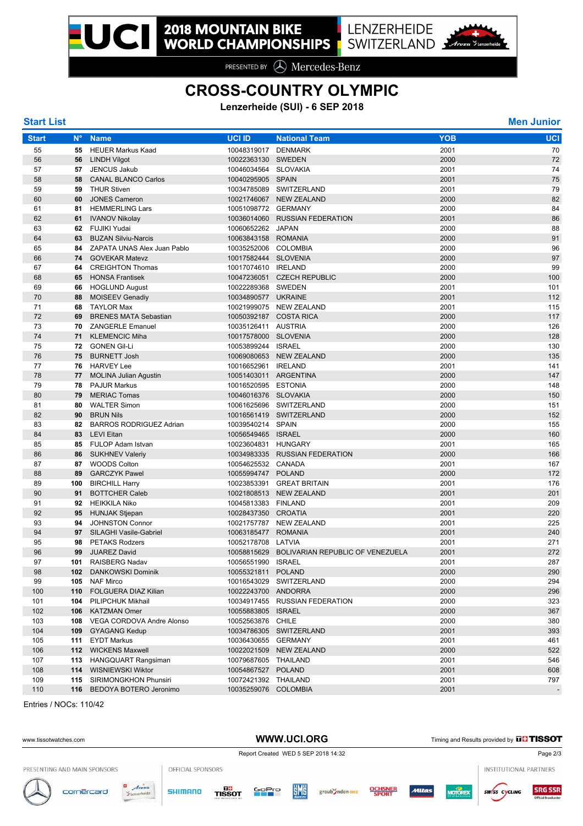PRESENTED BY **A** Mercedes-Benz

# **CROSS-COUNTRY OLYMPIC**

**Lenzerheide (SUI) - 6 SEP 2018**

| <b>Start List</b> |             |                                |                       |                                              |            | <b>Men Junior</b> |
|-------------------|-------------|--------------------------------|-----------------------|----------------------------------------------|------------|-------------------|
| <b>Start</b>      | $N^{\circ}$ | <b>Name</b>                    | <b>UCI ID</b>         | <b>National Team</b>                         | <b>YOB</b> | <b>UCI</b>        |
| 55                | 55          | <b>HEUER Markus Kaad</b>       | 10048319017 DENMARK   |                                              | 2001       | 70                |
| 56                | 56          | <b>LINDH Vilgot</b>            | 10022363130 SWEDEN    |                                              | 2000       | 72                |
| 57                | 57          | <b>JENCUS Jakub</b>            | 10046034564 SLOVAKIA  |                                              | 2001       | 74                |
| 58                | 58          | <b>CANAL BLANCO Carlos</b>     | 10040295905 SPAIN     |                                              | 2001       | 75                |
| 59                | 59          | <b>THUR Stiven</b>             |                       | 10034785089 SWITZERLAND                      | 2001       | 79                |
| 60                | 60          | <b>JONES Cameron</b>           |                       | 10021746067 NEW ZEALAND                      | 2000       | 82                |
| 61                | 81          | <b>HEMMERLING Lars</b>         | 10051098772 GERMANY   |                                              | 2000       | 84                |
| 62                | 61          | <b>IVANOV Nikolay</b>          |                       | 10036014060 RUSSIAN FEDERATION               | 2001       | 86                |
| 63                |             | 62 FUJIKI Yudai                | 10060652262 JAPAN     |                                              | 2000       | 88                |
| 64                | 63          | <b>BUZAN Silviu-Narcis</b>     | 10063843158 ROMANIA   |                                              | 2000       | 91                |
| 65                | 84          | ZAPATA UNAS Alex Juan Pablo    | 10035252006 COLOMBIA  |                                              | 2000       | 96                |
| 66                | 74          | <b>GOVEKAR Matevz</b>          | 10017582444 SLOVENIA  |                                              | 2000       | 97                |
| 67                | 64          | <b>CREIGHTON Thomas</b>        | 10017074610 IRELAND   |                                              | 2000       | 99                |
| 68                | 65          | <b>HONSA Frantisek</b>         |                       | 10047236051 CZECH REPUBLIC                   | 2000       | 100               |
| 69                | 66          | <b>HOGLUND August</b>          | 10022289368 SWEDEN    |                                              | 2001       | 101               |
| 70                | 88          | <b>MOISEEV Genadiy</b>         | 10034890577 UKRAINE   |                                              | 2001       | 112               |
| 71                | 68          | <b>TAYLOR Max</b>              |                       | 10021999075 NEW ZEALAND                      | 2001       | 115               |
| 72                | 69          | <b>BRENES MATA Sebastian</b>   |                       | 10050392187 COSTA RICA                       | 2000       | 117               |
| 73                | 70          | <b>ZANGERLE Emanuel</b>        | 10035126411 AUSTRIA   |                                              | 2000       | 126               |
| 74                | 71          | <b>KLEMENCIC Miha</b>          | 10017578000 SLOVENIA  |                                              | 2000       | 128               |
| 75                | 72          | <b>GONEN Gil-Li</b>            | 10053899244 ISRAEL    |                                              | 2000       | 130               |
| 76                | 75          | <b>BURNETT Josh</b>            |                       | 10069080653 NEW ZEALAND                      | 2000       | 135               |
| 77                | 76          | <b>HARVEY Lee</b>              | 10016652961 IRELAND   |                                              | 2001       | 141               |
| 78                | 77          | <b>MOLINA Julian Agustin</b>   | 10051403011 ARGENTINA |                                              | 2000       | 147               |
| 79                | 78          | <b>PAJUR Markus</b>            | 10016520595 ESTONIA   |                                              | 2000       | 148               |
| 80                | 79          | <b>MERIAC Tomas</b>            | 10046016376 SLOVAKIA  |                                              | 2000       | 150               |
| 81                | 80          | <b>WALTER Simon</b>            |                       | 10061625696 SWITZERLAND                      | 2000       | 151               |
| 82                | 90          | <b>BRUN Nils</b>               |                       | 10016561419 SWITZERLAND                      | 2000       | 152               |
| 83                | 82          | <b>BARROS RODRIGUEZ Adrian</b> | 10039540214 SPAIN     |                                              | 2000       | 155               |
| 84                | 83          | <b>LEVI Eitan</b>              | 10056549465 ISRAEL    |                                              | 2000       | 160               |
| 85                | 85          | FULOP Adam Istvan              | 10023604831 HUNGARY   |                                              | 2001       | 165               |
| 86                | 86          | <b>SUKHNEV Valeriy</b>         |                       | 10034983335 RUSSIAN FEDERATION               | 2000       | 166               |
| 87                | 87          | <b>WOODS Colton</b>            | 10054625532 CANADA    |                                              | 2001       | 167               |
| 88                | 89          | <b>GARCZYK Pawel</b>           | 10055994747 POLAND    |                                              | 2000       | 172               |
| 89                | 100         | <b>BIRCHILL Harry</b>          |                       | 10023853391 GREAT BRITAIN                    | 2001       | 176               |
| 90                | 91          | <b>BOTTCHER Caleb</b>          |                       | 10021808513 NEW ZEALAND                      | 2001       | 201               |
| 91                | 92          | <b>HEIKKILA Niko</b>           | 10045813383 FINLAND   |                                              | 2001       | 209               |
| 92                | 95          | <b>HUNJAK Stjepan</b>          | 10028437350 CROATIA   |                                              | 2001       | 220               |
| 93                | 94          | <b>JOHNSTON Connor</b>         |                       | 10021757787 NEW ZEALAND                      | 2001       | 225               |
| 94                | 97          | SILAGHI Vasile-Gabriel         | 10063185477           | <b>ROMANIA</b>                               | 2001       | 240               |
| 95                | 98          | <b>PETAKS Rodzers</b>          | 10052178708 LATVIA    |                                              | 2001       | 271               |
| 96                | 99          | <b>JUAREZ David</b>            |                       | 10058815629 BOLIVARIAN REPUBLIC OF VENEZUELA | 2001       | 272               |
| 97                |             | 101 RAISBERG Nadav             | 10056551990 ISRAEL    |                                              | 2001       | 287               |
| 98                |             | 102 DANKOWSKI Dominik          | 10055321811 POLAND    |                                              | 2000       | 290               |
| 99                |             | 105 NAF Mirco                  |                       | 10016543029 SWITZERLAND                      | 2000       | 294               |
| 100               |             | 110 FOLGUERA DIAZ Kilian       | 10022243700 ANDORRA   |                                              | 2000       | 296               |
| 101               |             | 104 PILIPCHUK Mikhail          |                       | 10034917455 RUSSIAN FEDERATION               | 2000       | 323               |
| 102               |             | 106 KATZMAN Omer               | 10055883805 ISRAEL    |                                              | 2000       | 367               |
| 103               |             | 108 VEGA CORDOVA Andre Alonso  | 10052563876 CHILE     |                                              | 2000       | 380               |
| 104               |             | 109 GYAGANG Kedup              |                       | 10034786305 SWITZERLAND                      | 2001       | 393               |
| 105               |             | 111 EYDT Markus                | 10036430655 GERMANY   |                                              | 2001       | 461               |
| 106               |             | 112 WICKENS Maxwell            |                       | 10022021509 NEW ZEALAND                      | 2000       | 522               |
| 107               |             | 113 HANGQUART Rangsiman        | 10079687605 THAILAND  |                                              | 2001       | 546               |
| 108               |             | 114 WISNIEWSKI Wiktor          | 10054867527 POLAND    |                                              | 2001       | 608               |
| 109               |             | 115 SIRIMONGKHON Phunsiri      | 10072421392 THAILAND  |                                              | 2001       | 797               |
| 110               |             | 116 BEDOYA BOTERO Jeronimo     | 10035259076 COLOMBIA  |                                              | 2001       |                   |
|                   |             |                                |                       |                                              |            |                   |

Entries / NOCs: 110/42

| www.tissotwatches.com        |                         |                   |        | WWW.UCI.ORG                         |            |                  |                         |              | Timing and Results provided by <b>DD</b> TISSOT |                        |                                               |  |
|------------------------------|-------------------------|-------------------|--------|-------------------------------------|------------|------------------|-------------------------|--------------|-------------------------------------------------|------------------------|-----------------------------------------------|--|
|                              |                         |                   |        | Report Created WED 5 SEP 2018 14:32 |            |                  |                         |              |                                                 |                        | Page 2/3                                      |  |
| PRESENTING AND MAIN SPONSORS |                         | OFFICIAL SPONSORS |        |                                     |            |                  |                         |              |                                                 | INSTITUTIONAL PARTNERS |                                               |  |
| cornercard                   | $\blacksquare$<br>Arosa | <b>SHIMANO</b>    | TISSOT | <b>GoPro</b>                        | <b>EME</b> | graub Inden BIKE | <b>OCHSNER</b><br>SPORT | <b>Mitas</b> | <b>MOTOREX</b>                                  | <b>SW/SS CYCLING</b>   | <b>SRG SSR</b><br><b>Official Broadcaster</b> |  |